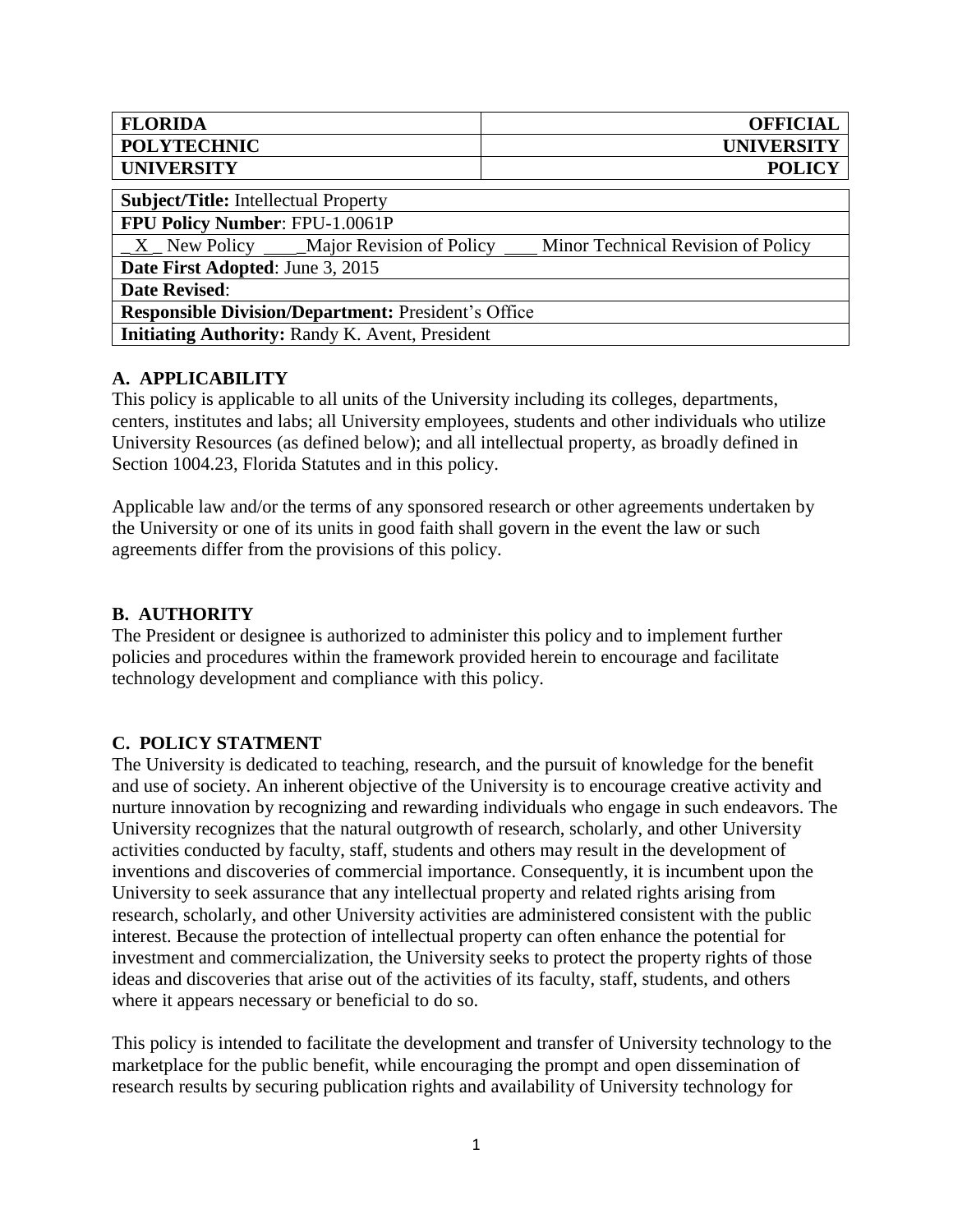| <b>FLORIDA</b>     | <b>OFFICIAL</b>   |
|--------------------|-------------------|
| <b>POLYTECHNIC</b> | <b>UNIVERSITY</b> |
| <b>UNIVERSITY</b>  | <b>POLICY</b>     |

| <b>Subject/Title:</b> Intellectual Property                                       |  |
|-----------------------------------------------------------------------------------|--|
| FPU Policy Number: FPU-1.0061P                                                    |  |
| $X$ New Policy ____Major Revision of Policy<br>Minor Technical Revision of Policy |  |
| Date First Adopted: June 3, 2015                                                  |  |
| <b>Date Revised:</b>                                                              |  |
| <b>Responsible Division/Department: President's Office</b>                        |  |
| <b>Initiating Authority: Randy K. Avent, President</b>                            |  |

### **A. APPLICABILITY**

This policy is applicable to all units of the University including its colleges, departments, centers, institutes and labs; all University employees, students and other individuals who utilize University Resources (as defined below); and all intellectual property, as broadly defined in Section 1004.23, Florida Statutes and in this policy.

Applicable law and/or the terms of any sponsored research or other agreements undertaken by the University or one of its units in good faith shall govern in the event the law or such agreements differ from the provisions of this policy.

## **B. AUTHORITY**

The President or designee is authorized to administer this policy and to implement further policies and procedures within the framework provided herein to encourage and facilitate technology development and compliance with this policy.

## **C. POLICY STATMENT**

The University is dedicated to teaching, research, and the pursuit of knowledge for the benefit and use of society. An inherent objective of the University is to encourage creative activity and nurture innovation by recognizing and rewarding individuals who engage in such endeavors. The University recognizes that the natural outgrowth of research, scholarly, and other University activities conducted by faculty, staff, students and others may result in the development of inventions and discoveries of commercial importance. Consequently, it is incumbent upon the University to seek assurance that any intellectual property and related rights arising from research, scholarly, and other University activities are administered consistent with the public interest. Because the protection of intellectual property can often enhance the potential for investment and commercialization, the University seeks to protect the property rights of those ideas and discoveries that arise out of the activities of its faculty, staff, students, and others where it appears necessary or beneficial to do so.

This policy is intended to facilitate the development and transfer of University technology to the marketplace for the public benefit, while encouraging the prompt and open dissemination of research results by securing publication rights and availability of University technology for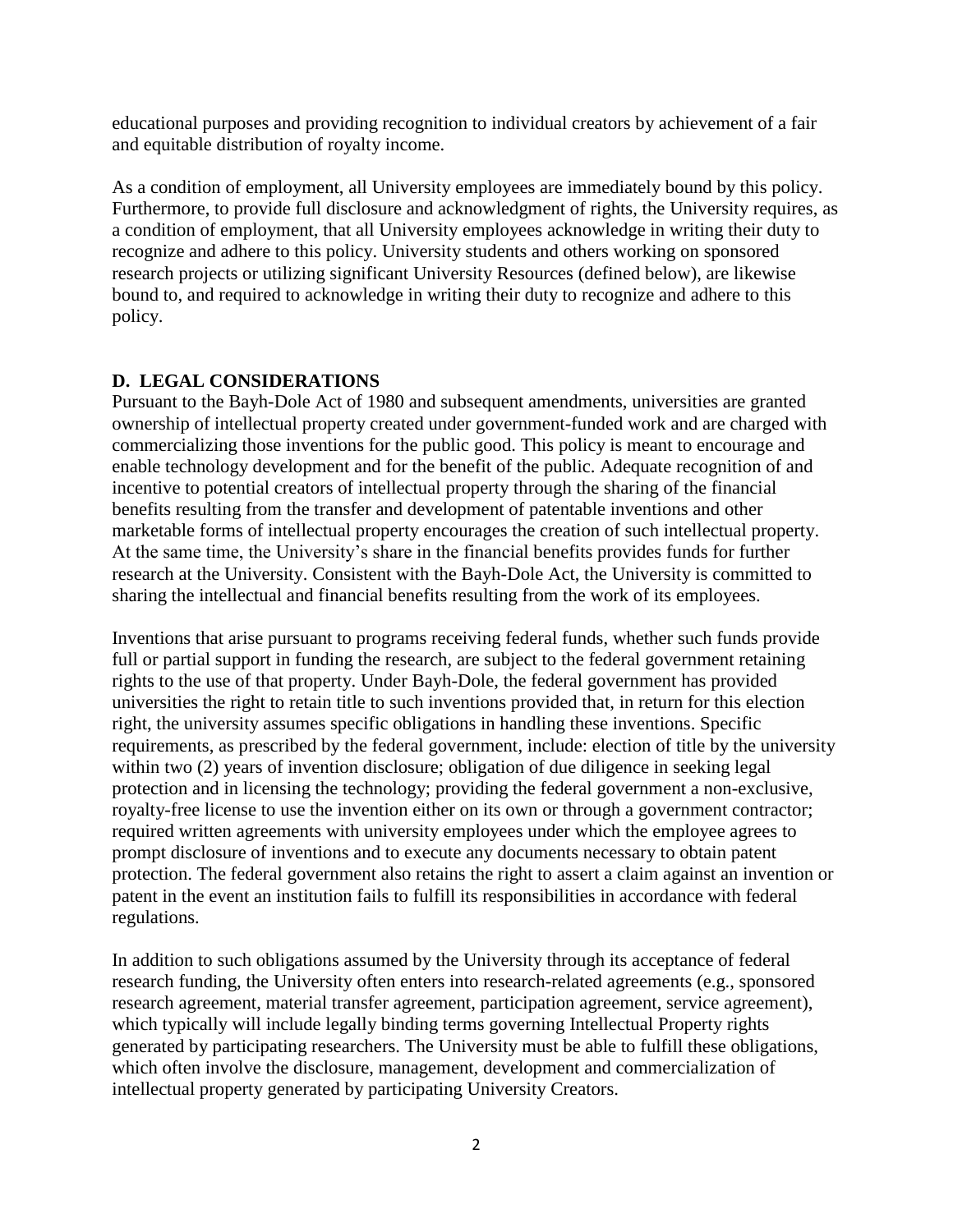educational purposes and providing recognition to individual creators by achievement of a fair and equitable distribution of royalty income.

As a condition of employment, all University employees are immediately bound by this policy. Furthermore, to provide full disclosure and acknowledgment of rights, the University requires, as a condition of employment, that all University employees acknowledge in writing their duty to recognize and adhere to this policy. University students and others working on sponsored research projects or utilizing significant University Resources (defined below), are likewise bound to, and required to acknowledge in writing their duty to recognize and adhere to this policy.

## **D. LEGAL CONSIDERATIONS**

Pursuant to the Bayh-Dole Act of 1980 and subsequent amendments, universities are granted ownership of intellectual property created under government-funded work and are charged with commercializing those inventions for the public good. This policy is meant to encourage and enable technology development and for the benefit of the public. Adequate recognition of and incentive to potential creators of intellectual property through the sharing of the financial benefits resulting from the transfer and development of patentable inventions and other marketable forms of intellectual property encourages the creation of such intellectual property. At the same time, the University's share in the financial benefits provides funds for further research at the University. Consistent with the Bayh-Dole Act, the University is committed to sharing the intellectual and financial benefits resulting from the work of its employees.

Inventions that arise pursuant to programs receiving federal funds, whether such funds provide full or partial support in funding the research, are subject to the federal government retaining rights to the use of that property. Under Bayh-Dole, the federal government has provided universities the right to retain title to such inventions provided that, in return for this election right, the university assumes specific obligations in handling these inventions. Specific requirements, as prescribed by the federal government, include: election of title by the university within two (2) years of invention disclosure; obligation of due diligence in seeking legal protection and in licensing the technology; providing the federal government a non-exclusive, royalty-free license to use the invention either on its own or through a government contractor; required written agreements with university employees under which the employee agrees to prompt disclosure of inventions and to execute any documents necessary to obtain patent protection. The federal government also retains the right to assert a claim against an invention or patent in the event an institution fails to fulfill its responsibilities in accordance with federal regulations.

In addition to such obligations assumed by the University through its acceptance of federal research funding, the University often enters into research-related agreements (e.g., sponsored research agreement, material transfer agreement, participation agreement, service agreement), which typically will include legally binding terms governing Intellectual Property rights generated by participating researchers. The University must be able to fulfill these obligations, which often involve the disclosure, management, development and commercialization of intellectual property generated by participating University Creators.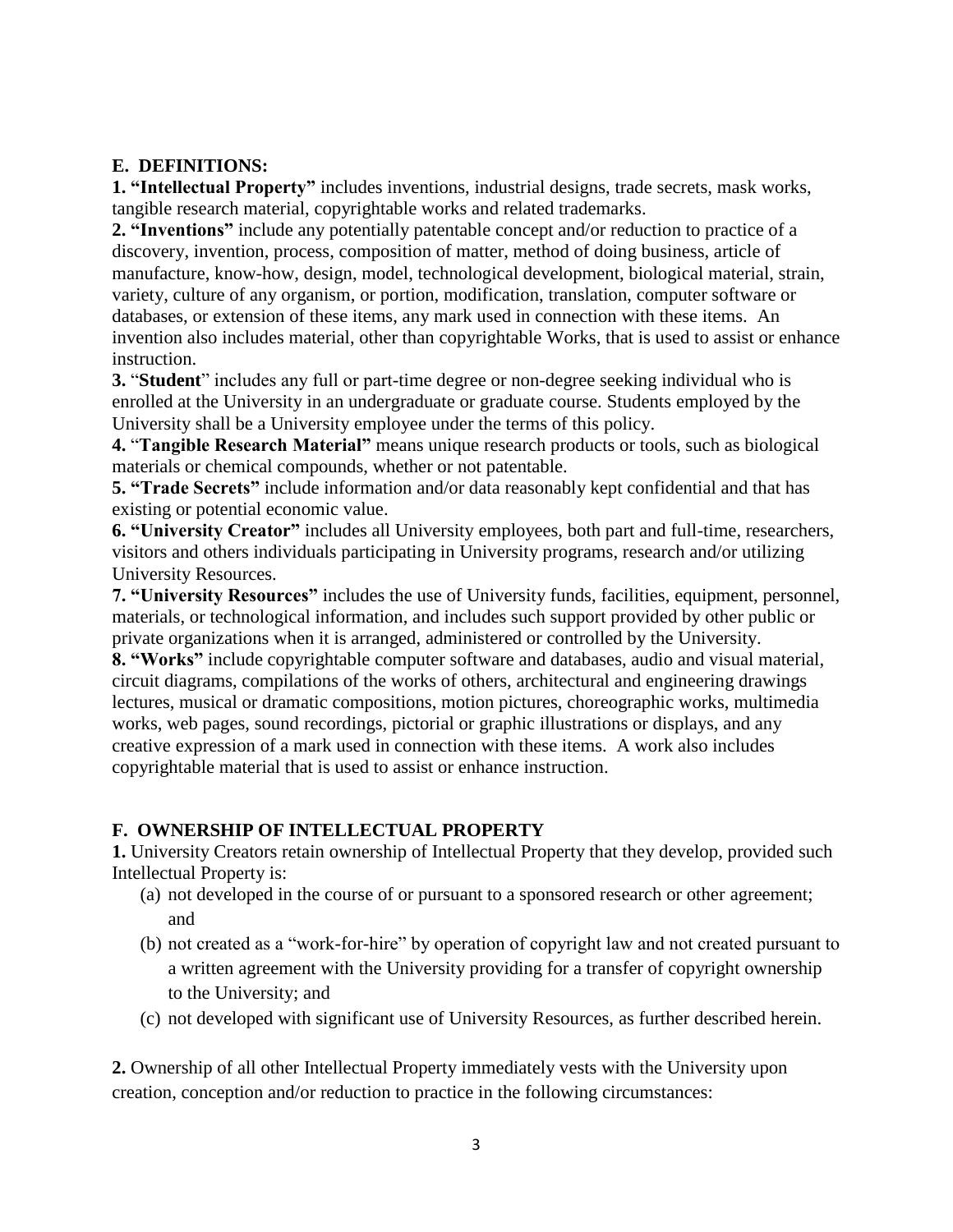## **E. DEFINITIONS:**

**1. "Intellectual Property"** includes inventions, industrial designs, trade secrets, mask works, tangible research material, copyrightable works and related trademarks.

**2. "Inventions"** include any potentially patentable concept and/or reduction to practice of a discovery, invention, process, composition of matter, method of doing business, article of manufacture, know-how, design, model, technological development, biological material, strain, variety, culture of any organism, or portion, modification, translation, computer software or databases, or extension of these items, any mark used in connection with these items. An invention also includes material, other than copyrightable Works, that is used to assist or enhance instruction.

**3.** "**Student**" includes any full or part-time degree or non-degree seeking individual who is enrolled at the University in an undergraduate or graduate course. Students employed by the University shall be a University employee under the terms of this policy.

**4.** "**Tangible Research Material"** means unique research products or tools, such as biological materials or chemical compounds, whether or not patentable.

**5. "Trade Secrets"** include information and/or data reasonably kept confidential and that has existing or potential economic value.

**6. "University Creator"** includes all University employees, both part and full-time, researchers, visitors and others individuals participating in University programs, research and/or utilizing University Resources.

**7. "University Resources"** includes the use of University funds, facilities, equipment, personnel, materials, or technological information, and includes such support provided by other public or private organizations when it is arranged, administered or controlled by the University. **8. "Works"** include copyrightable computer software and databases, audio and visual material, circuit diagrams, compilations of the works of others, architectural and engineering drawings lectures, musical or dramatic compositions, motion pictures, choreographic works, multimedia works, web pages, sound recordings, pictorial or graphic illustrations or displays, and any creative expression of a mark used in connection with these items. A work also includes copyrightable material that is used to assist or enhance instruction.

## **F. OWNERSHIP OF INTELLECTUAL PROPERTY**

**1.** University Creators retain ownership of Intellectual Property that they develop, provided such Intellectual Property is:

- (a) not developed in the course of or pursuant to a sponsored research or other agreement; and
- (b) not created as a "work-for-hire" by operation of copyright law and not created pursuant to a written agreement with the University providing for a transfer of copyright ownership to the University; and
- (c) not developed with significant use of University Resources, as further described herein.

**2.** Ownership of all other Intellectual Property immediately vests with the University upon creation, conception and/or reduction to practice in the following circumstances: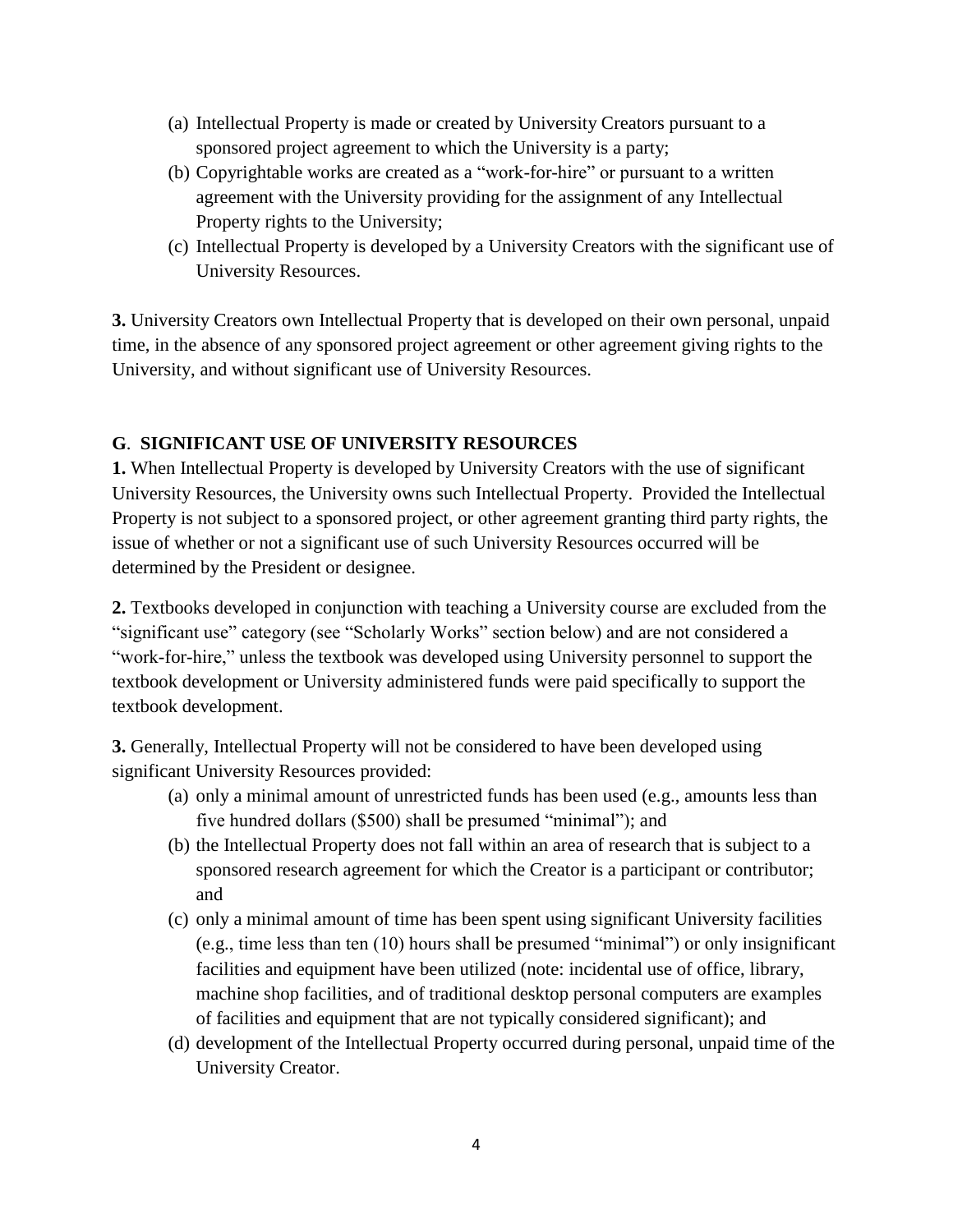- (a) Intellectual Property is made or created by University Creators pursuant to a sponsored project agreement to which the University is a party;
- (b) Copyrightable works are created as a "work-for-hire" or pursuant to a written agreement with the University providing for the assignment of any Intellectual Property rights to the University;
- (c) Intellectual Property is developed by a University Creators with the significant use of University Resources.

**3.** University Creators own Intellectual Property that is developed on their own personal, unpaid time, in the absence of any sponsored project agreement or other agreement giving rights to the University, and without significant use of University Resources.

## **G**. **SIGNIFICANT USE OF UNIVERSITY RESOURCES**

**1.** When Intellectual Property is developed by University Creators with the use of significant University Resources, the University owns such Intellectual Property. Provided the Intellectual Property is not subject to a sponsored project, or other agreement granting third party rights, the issue of whether or not a significant use of such University Resources occurred will be determined by the President or designee.

**2.** Textbooks developed in conjunction with teaching a University course are excluded from the "significant use" category (see "Scholarly Works" section below) and are not considered a "work-for-hire," unless the textbook was developed using University personnel to support the textbook development or University administered funds were paid specifically to support the textbook development.

**3.** Generally, Intellectual Property will not be considered to have been developed using significant University Resources provided:

- (a) only a minimal amount of unrestricted funds has been used (e.g., amounts less than five hundred dollars (\$500) shall be presumed "minimal"); and
- (b) the Intellectual Property does not fall within an area of research that is subject to a sponsored research agreement for which the Creator is a participant or contributor; and
- (c) only a minimal amount of time has been spent using significant University facilities (e.g., time less than ten (10) hours shall be presumed "minimal") or only insignificant facilities and equipment have been utilized (note: incidental use of office, library, machine shop facilities, and of traditional desktop personal computers are examples of facilities and equipment that are not typically considered significant); and
- (d) development of the Intellectual Property occurred during personal, unpaid time of the University Creator.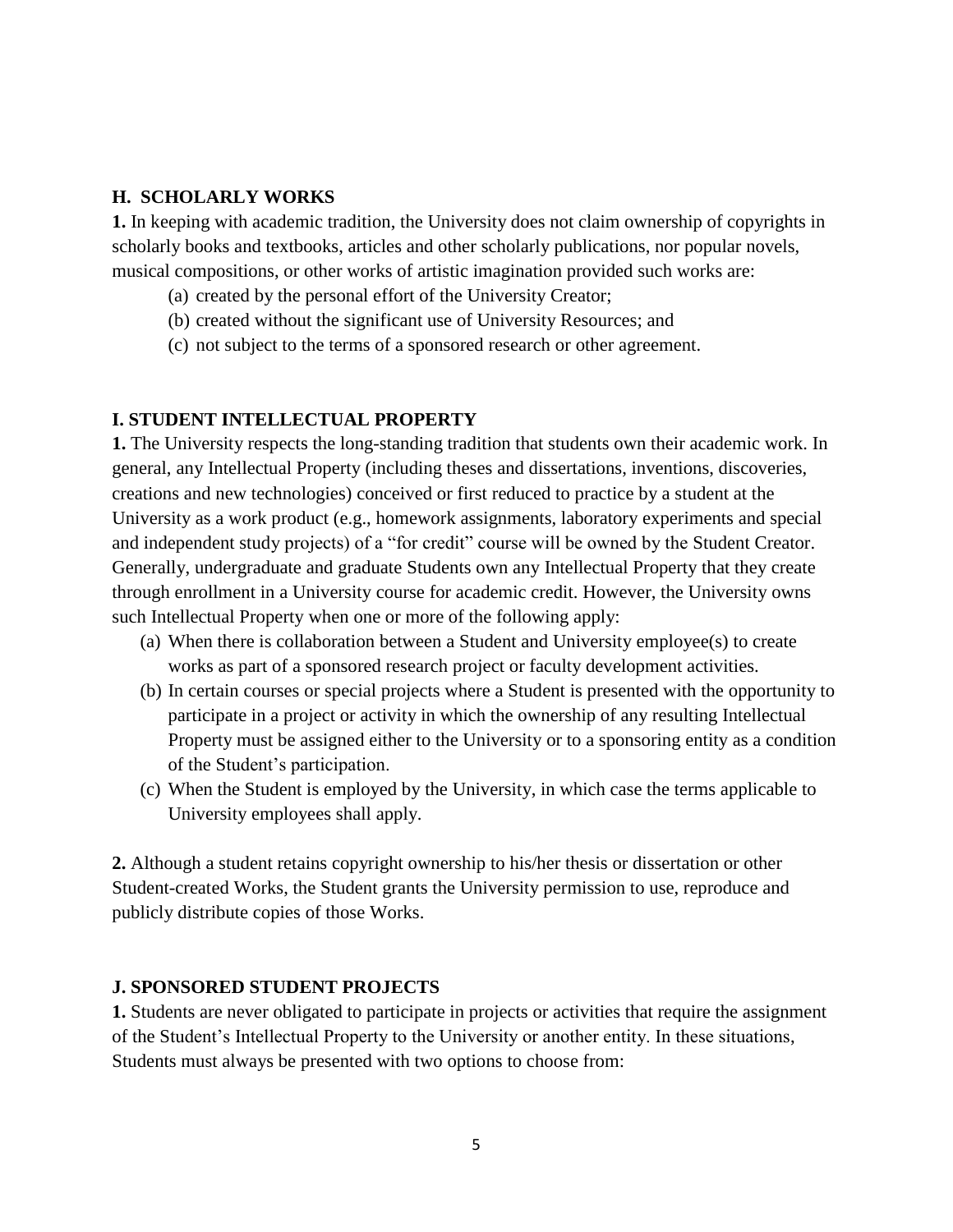#### **H. SCHOLARLY WORKS**

**1.** In keeping with academic tradition, the University does not claim ownership of copyrights in scholarly books and textbooks, articles and other scholarly publications, nor popular novels, musical compositions, or other works of artistic imagination provided such works are:

- (a) created by the personal effort of the University Creator;
- (b) created without the significant use of University Resources; and
- (c) not subject to the terms of a sponsored research or other agreement.

#### **I. STUDENT INTELLECTUAL PROPERTY**

**1.** The University respects the long-standing tradition that students own their academic work. In general, any Intellectual Property (including theses and dissertations, inventions, discoveries, creations and new technologies) conceived or first reduced to practice by a student at the University as a work product (e.g., homework assignments, laboratory experiments and special and independent study projects) of a "for credit" course will be owned by the Student Creator. Generally, undergraduate and graduate Students own any Intellectual Property that they create through enrollment in a University course for academic credit. However, the University owns such Intellectual Property when one or more of the following apply:

- (a) When there is collaboration between a Student and University employee(s) to create works as part of a sponsored research project or faculty development activities.
- (b) In certain courses or special projects where a Student is presented with the opportunity to participate in a project or activity in which the ownership of any resulting Intellectual Property must be assigned either to the University or to a sponsoring entity as a condition of the Student's participation.
- (c) When the Student is employed by the University, in which case the terms applicable to University employees shall apply.

**2.** Although a student retains copyright ownership to his/her thesis or dissertation or other Student-created Works, the Student grants the University permission to use, reproduce and publicly distribute copies of those Works.

#### **J. SPONSORED STUDENT PROJECTS**

**1.** Students are never obligated to participate in projects or activities that require the assignment of the Student's Intellectual Property to the University or another entity. In these situations, Students must always be presented with two options to choose from: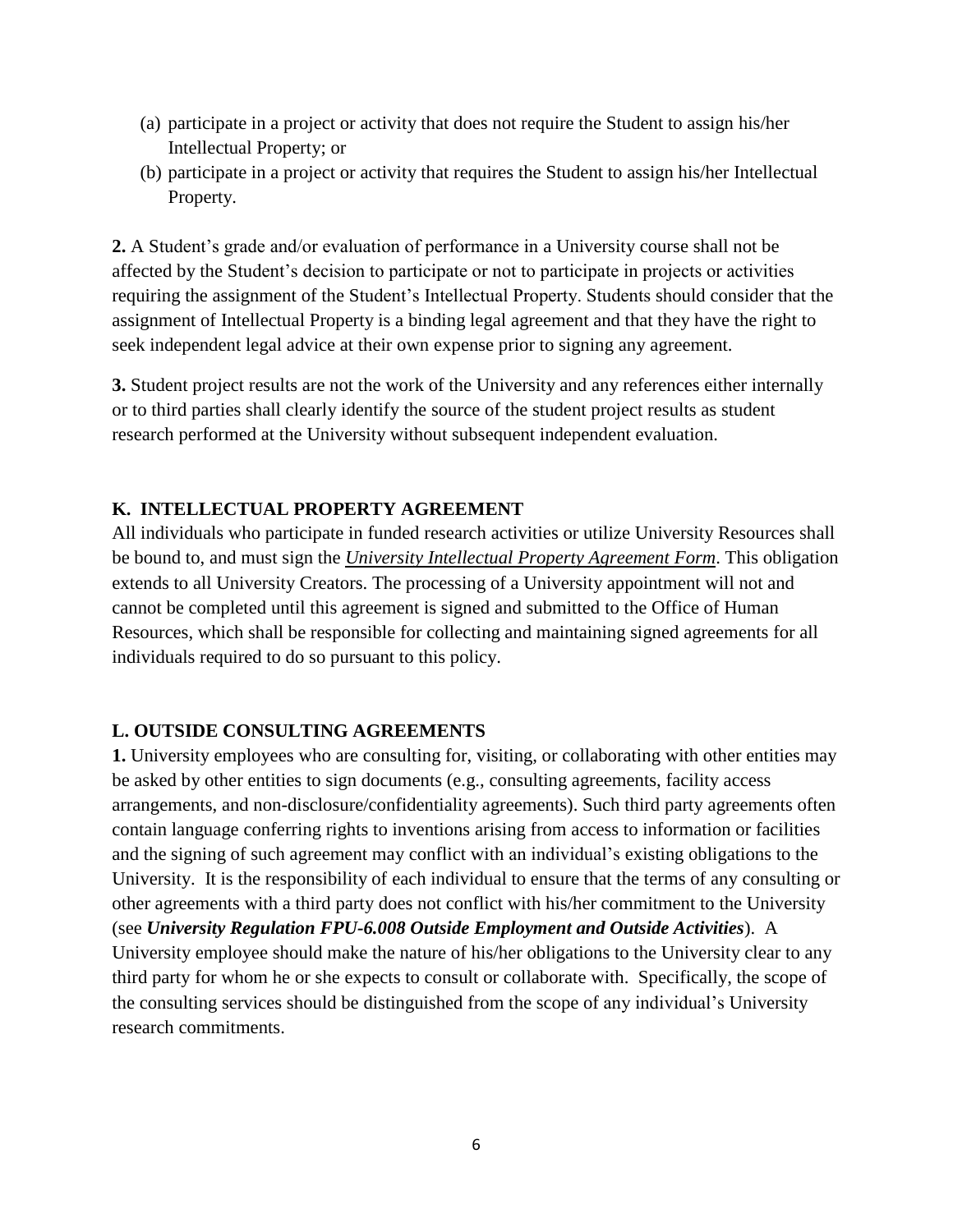- (a) participate in a project or activity that does not require the Student to assign his/her Intellectual Property; or
- (b) participate in a project or activity that requires the Student to assign his/her Intellectual Property.

**2.** A Student's grade and/or evaluation of performance in a University course shall not be affected by the Student's decision to participate or not to participate in projects or activities requiring the assignment of the Student's Intellectual Property. Students should consider that the assignment of Intellectual Property is a binding legal agreement and that they have the right to seek independent legal advice at their own expense prior to signing any agreement.

**3.** Student project results are not the work of the University and any references either internally or to third parties shall clearly identify the source of the student project results as student research performed at the University without subsequent independent evaluation.

## **K. INTELLECTUAL PROPERTY AGREEMENT**

All individuals who participate in funded research activities or utilize University Resources shall be bound to, and must sign the *University Intellectual Property Agreement Form*. This obligation extends to all University Creators. The processing of a University appointment will not and cannot be completed until this agreement is signed and submitted to the Office of Human Resources, which shall be responsible for collecting and maintaining signed agreements for all individuals required to do so pursuant to this policy.

## **L. OUTSIDE CONSULTING AGREEMENTS**

**1.** University employees who are consulting for, visiting, or collaborating with other entities may be asked by other entities to sign documents (e.g., consulting agreements, facility access arrangements, and non-disclosure/confidentiality agreements). Such third party agreements often contain language conferring rights to inventions arising from access to information or facilities and the signing of such agreement may conflict with an individual's existing obligations to the University. It is the responsibility of each individual to ensure that the terms of any consulting or other agreements with a third party does not conflict with his/her commitment to the University (see *University Regulation [FPU-6.008 Outside Employment and Outside Activities](https://floridapolytechnic.org/wp-content/uploads/FPU-6.008-Outside-Employment-Outside-Activity-Regulation-7.29.14.pdf)*). A University employee should make the nature of his/her obligations to the University clear to any third party for whom he or she expects to consult or collaborate with. Specifically, the scope of the consulting services should be distinguished from the scope of any individual's University research commitments.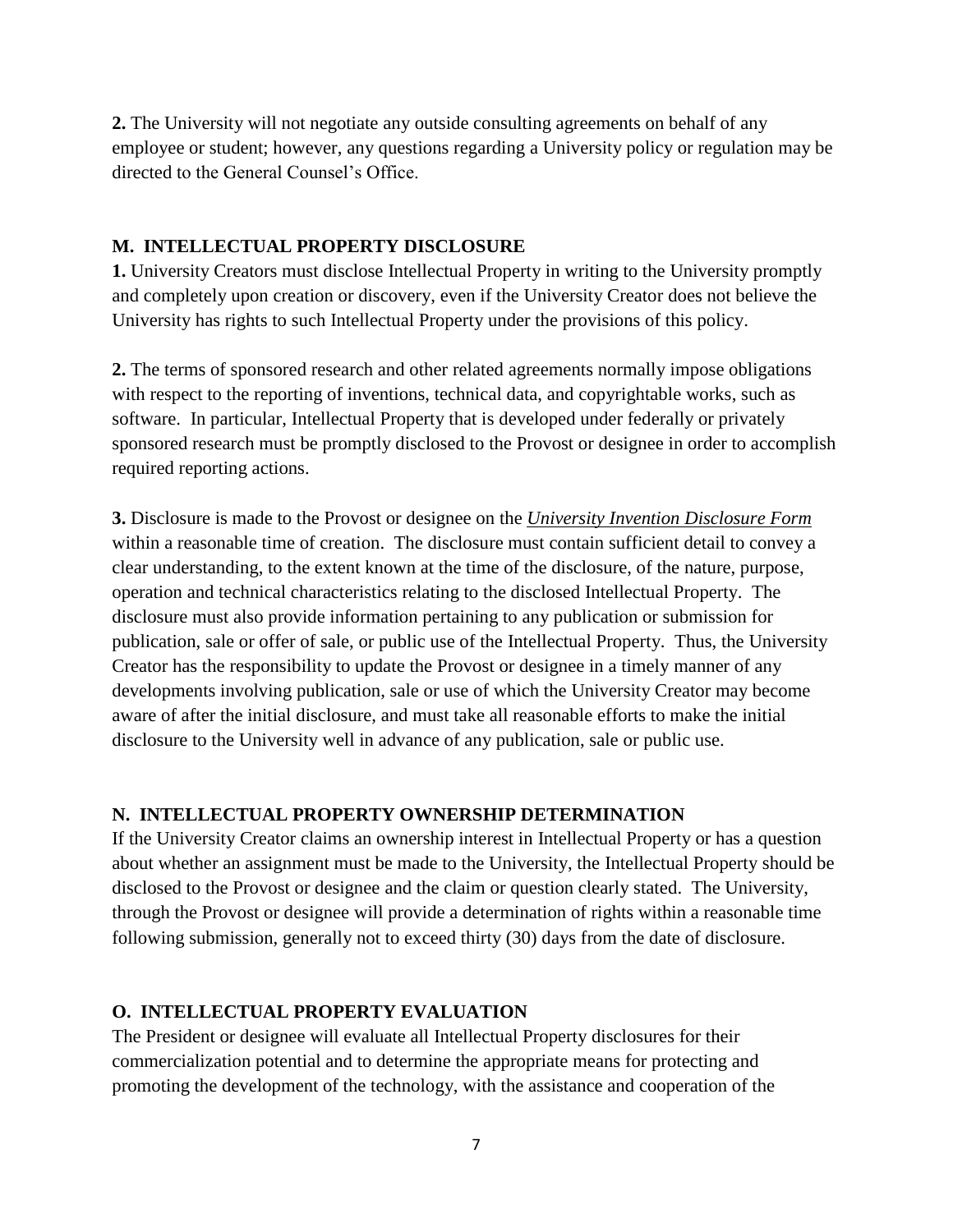**2.** The University will not negotiate any outside consulting agreements on behalf of any employee or student; however, any questions regarding a University policy or regulation may be directed to the General Counsel's Office.

#### **M. INTELLECTUAL PROPERTY DISCLOSURE**

**1.** University Creators must disclose Intellectual Property in writing to the University promptly and completely upon creation or discovery, even if the University Creator does not believe the University has rights to such Intellectual Property under the provisions of this policy.

**2.** The terms of sponsored research and other related agreements normally impose obligations with respect to the reporting of inventions, technical data, and copyrightable works, such as software. In particular, Intellectual Property that is developed under federally or privately sponsored research must be promptly disclosed to the Provost or designee in order to accomplish required reporting actions.

**3.** Disclosure is made to the Provost or designee on the *University Invention Disclosure Form* within a reasonable time of creation. The disclosure must contain sufficient detail to convey a clear understanding, to the extent known at the time of the disclosure, of the nature, purpose, operation and technical characteristics relating to the disclosed Intellectual Property. The disclosure must also provide information pertaining to any publication or submission for publication, sale or offer of sale, or public use of the Intellectual Property. Thus, the University Creator has the responsibility to update the Provost or designee in a timely manner of any developments involving publication, sale or use of which the University Creator may become aware of after the initial disclosure, and must take all reasonable efforts to make the initial disclosure to the University well in advance of any publication, sale or public use.

### **N. INTELLECTUAL PROPERTY OWNERSHIP DETERMINATION**

If the University Creator claims an ownership interest in Intellectual Property or has a question about whether an assignment must be made to the University, the Intellectual Property should be disclosed to the Provost or designee and the claim or question clearly stated. The University, through the Provost or designee will provide a determination of rights within a reasonable time following submission, generally not to exceed thirty (30) days from the date of disclosure.

### **O. INTELLECTUAL PROPERTY EVALUATION**

The President or designee will evaluate all Intellectual Property disclosures for their commercialization potential and to determine the appropriate means for protecting and promoting the development of the technology, with the assistance and cooperation of the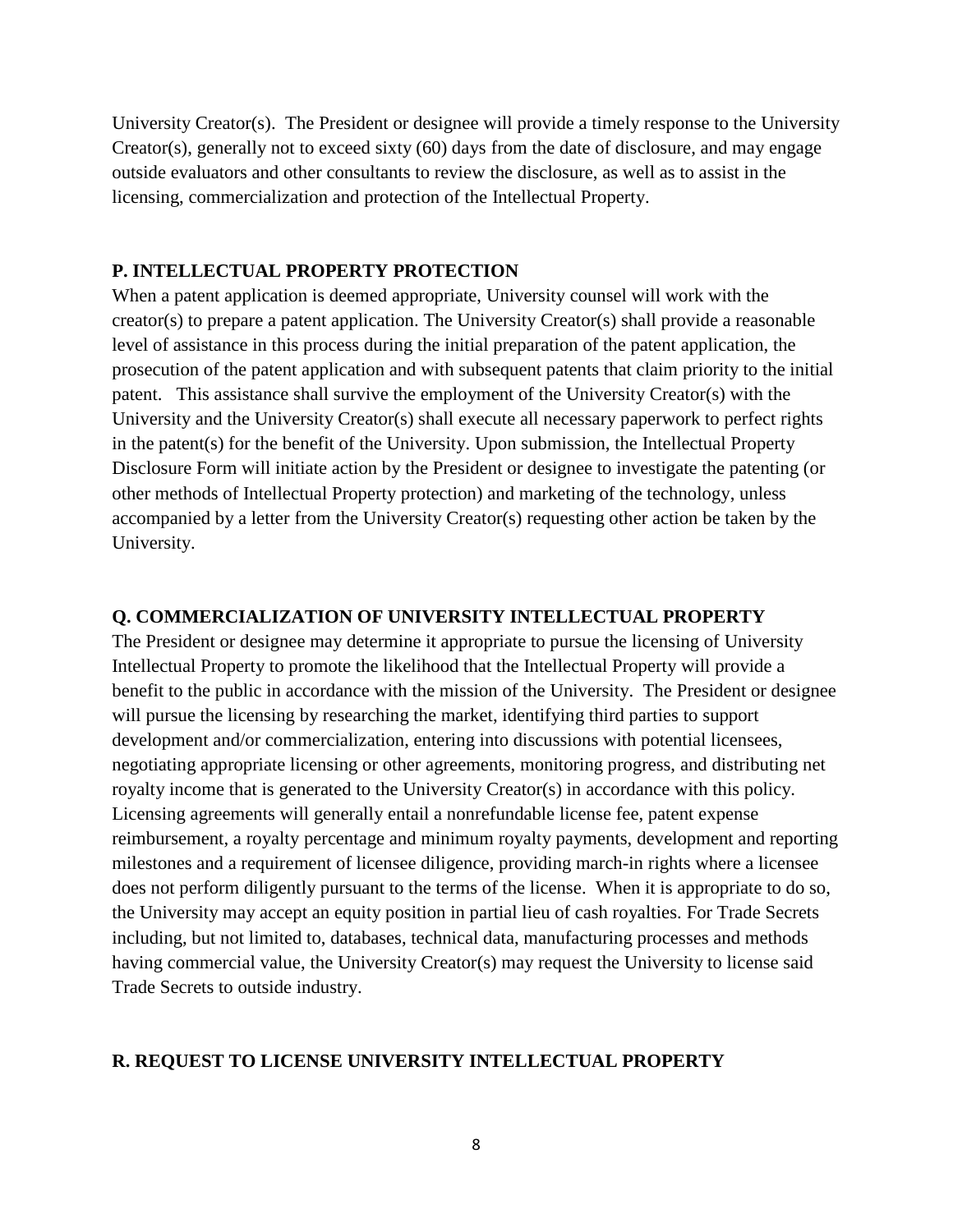University Creator(s). The President or designee will provide a timely response to the University Creator(s), generally not to exceed sixty (60) days from the date of disclosure, and may engage outside evaluators and other consultants to review the disclosure, as well as to assist in the licensing, commercialization and protection of the Intellectual Property.

#### **P. INTELLECTUAL PROPERTY PROTECTION**

When a patent application is deemed appropriate, University counsel will work with the creator(s) to prepare a patent application. The University Creator(s) shall provide a reasonable level of assistance in this process during the initial preparation of the patent application, the prosecution of the patent application and with subsequent patents that claim priority to the initial patent. This assistance shall survive the employment of the University Creator(s) with the University and the University Creator(s) shall execute all necessary paperwork to perfect rights in the patent(s) for the benefit of the University. Upon submission, the Intellectual Property Disclosure Form will initiate action by the President or designee to investigate the patenting (or other methods of Intellectual Property protection) and marketing of the technology, unless accompanied by a letter from the University Creator(s) requesting other action be taken by the University.

#### **Q. COMMERCIALIZATION OF UNIVERSITY INTELLECTUAL PROPERTY**

The President or designee may determine it appropriate to pursue the licensing of University Intellectual Property to promote the likelihood that the Intellectual Property will provide a benefit to the public in accordance with the mission of the University. The President or designee will pursue the licensing by researching the market, identifying third parties to support development and/or commercialization, entering into discussions with potential licensees, negotiating appropriate licensing or other agreements, monitoring progress, and distributing net royalty income that is generated to the University Creator(s) in accordance with this policy. Licensing agreements will generally entail a nonrefundable license fee, patent expense reimbursement, a royalty percentage and minimum royalty payments, development and reporting milestones and a requirement of licensee diligence, providing march-in rights where a licensee does not perform diligently pursuant to the terms of the license. When it is appropriate to do so, the University may accept an equity position in partial lieu of cash royalties. For Trade Secrets including, but not limited to, databases, technical data, manufacturing processes and methods having commercial value, the University Creator(s) may request the University to license said Trade Secrets to outside industry.

### **R. REQUEST TO LICENSE UNIVERSITY INTELLECTUAL PROPERTY**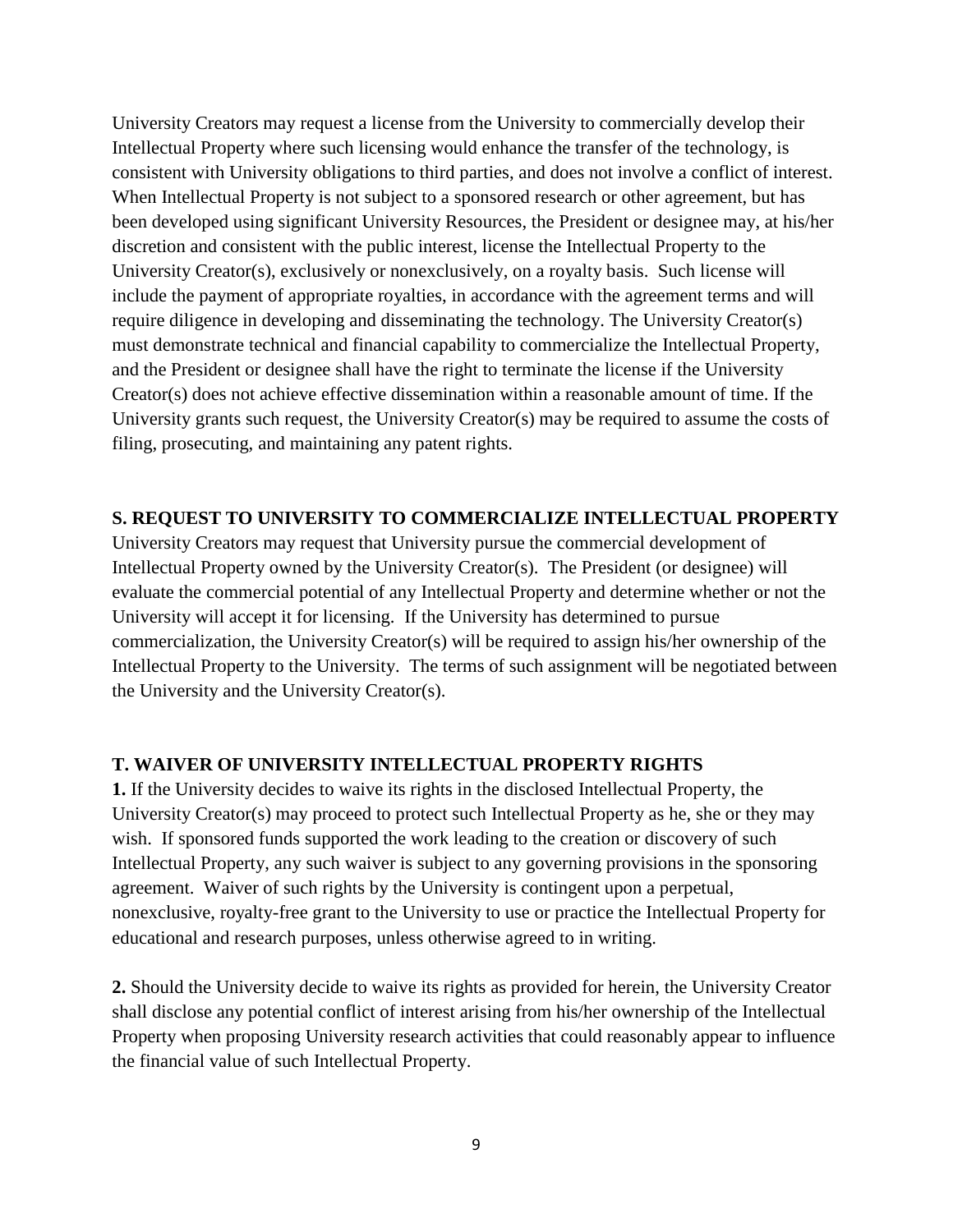University Creators may request a license from the University to commercially develop their Intellectual Property where such licensing would enhance the transfer of the technology, is consistent with University obligations to third parties, and does not involve a conflict of interest. When Intellectual Property is not subject to a sponsored research or other agreement, but has been developed using significant University Resources, the President or designee may, at his/her discretion and consistent with the public interest, license the Intellectual Property to the University Creator(s), exclusively or nonexclusively, on a royalty basis. Such license will include the payment of appropriate royalties, in accordance with the agreement terms and will require diligence in developing and disseminating the technology. The University Creator(s) must demonstrate technical and financial capability to commercialize the Intellectual Property, and the President or designee shall have the right to terminate the license if the University Creator(s) does not achieve effective dissemination within a reasonable amount of time. If the University grants such request, the University Creator(s) may be required to assume the costs of filing, prosecuting, and maintaining any patent rights.

#### **S. REQUEST TO UNIVERSITY TO COMMERCIALIZE INTELLECTUAL PROPERTY**

University Creators may request that University pursue the commercial development of Intellectual Property owned by the University Creator(s). The President (or designee) will evaluate the commercial potential of any Intellectual Property and determine whether or not the University will accept it for licensing. If the University has determined to pursue commercialization, the University Creator(s) will be required to assign his/her ownership of the Intellectual Property to the University. The terms of such assignment will be negotiated between the University and the University Creator(s).

### **T. WAIVER OF UNIVERSITY INTELLECTUAL PROPERTY RIGHTS**

**1.** If the University decides to waive its rights in the disclosed Intellectual Property, the University Creator(s) may proceed to protect such Intellectual Property as he, she or they may wish. If sponsored funds supported the work leading to the creation or discovery of such Intellectual Property, any such waiver is subject to any governing provisions in the sponsoring agreement. Waiver of such rights by the University is contingent upon a perpetual, nonexclusive, royalty-free grant to the University to use or practice the Intellectual Property for educational and research purposes, unless otherwise agreed to in writing.

**2.** Should the University decide to waive its rights as provided for herein, the University Creator shall disclose any potential conflict of interest arising from his/her ownership of the Intellectual Property when proposing University research activities that could reasonably appear to influence the financial value of such Intellectual Property.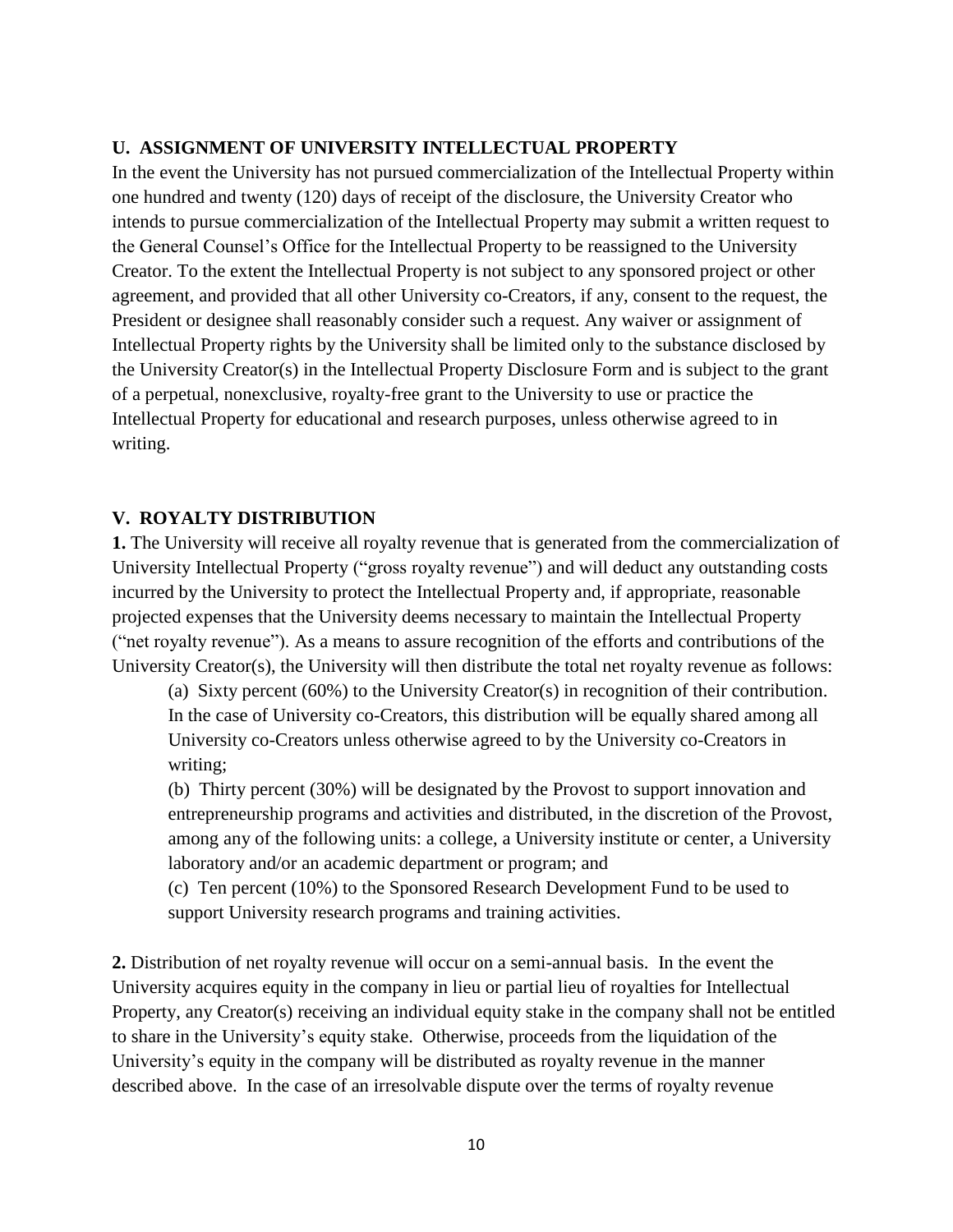#### **U. ASSIGNMENT OF UNIVERSITY INTELLECTUAL PROPERTY**

In the event the University has not pursued commercialization of the Intellectual Property within one hundred and twenty (120) days of receipt of the disclosure, the University Creator who intends to pursue commercialization of the Intellectual Property may submit a written request to the General Counsel's Office for the Intellectual Property to be reassigned to the University Creator. To the extent the Intellectual Property is not subject to any sponsored project or other agreement, and provided that all other University co-Creators, if any, consent to the request, the President or designee shall reasonably consider such a request. Any waiver or assignment of Intellectual Property rights by the University shall be limited only to the substance disclosed by the University Creator(s) in the Intellectual Property Disclosure Form and is subject to the grant of a perpetual, nonexclusive, royalty-free grant to the University to use or practice the Intellectual Property for educational and research purposes, unless otherwise agreed to in writing.

#### **V. ROYALTY DISTRIBUTION**

**1.** The University will receive all royalty revenue that is generated from the commercialization of University Intellectual Property ("gross royalty revenue") and will deduct any outstanding costs incurred by the University to protect the Intellectual Property and, if appropriate, reasonable projected expenses that the University deems necessary to maintain the Intellectual Property ("net royalty revenue"). As a means to assure recognition of the efforts and contributions of the University Creator(s), the University will then distribute the total net royalty revenue as follows:

(a) Sixty percent (60%) to the University Creator(s) in recognition of their contribution. In the case of University co-Creators, this distribution will be equally shared among all University co-Creators unless otherwise agreed to by the University co-Creators in writing;

(b) Thirty percent (30%) will be designated by the Provost to support innovation and entrepreneurship programs and activities and distributed, in the discretion of the Provost, among any of the following units: a college, a University institute or center, a University laboratory and/or an academic department or program; and

(c) Ten percent (10%) to the Sponsored Research Development Fund to be used to support University research programs and training activities.

**2.** Distribution of net royalty revenue will occur on a semi-annual basis. In the event the University acquires equity in the company in lieu or partial lieu of royalties for Intellectual Property, any Creator(s) receiving an individual equity stake in the company shall not be entitled to share in the University's equity stake. Otherwise, proceeds from the liquidation of the University's equity in the company will be distributed as royalty revenue in the manner described above. In the case of an irresolvable dispute over the terms of royalty revenue